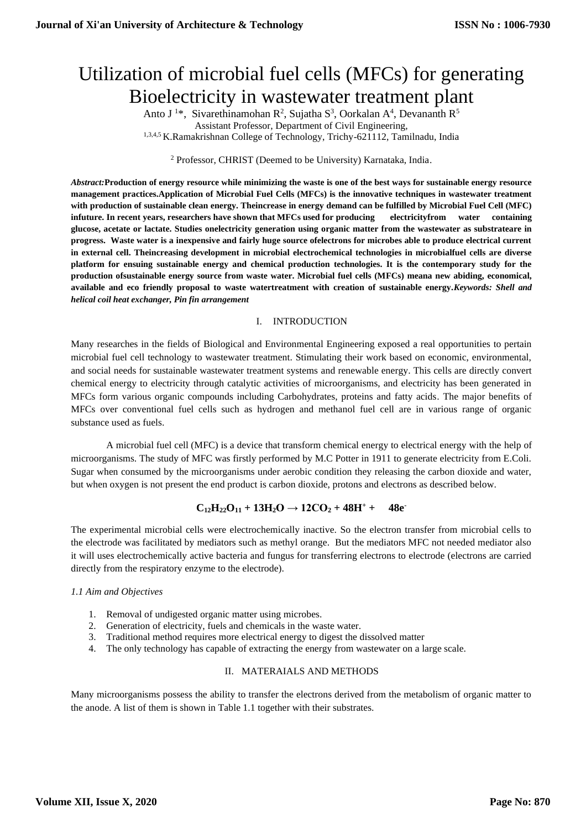# Utilization of microbial fuel cells (MFCs) for generating Bioelectricity in wastewater treatment plant

Anto J<sup>1\*</sup>, Sivarethinamohan R<sup>2</sup>, Sujatha S<sup>3</sup>, Oorkalan A<sup>4</sup>, Devananth R<sup>5</sup> Assistant Professor, Department of Civil Engineering, 1,3,4,5 K.Ramakrishnan College of Technology, Trichy-621112, Tamilnadu, India

<sup>2</sup> Professor, CHRIST (Deemed to be University) Karnataka, India.

*Abstract:***Production of energy resource while minimizing the waste is one of the best ways for sustainable energy resource management practices.Application of Microbial Fuel Cells (MFCs) is the innovative techniques in wastewater treatment with production of sustainable clean energy. Theincrease in energy demand can be fulfilled by Microbial Fuel Cell (MFC) infuture. In recent years, researchers have shown that MFCs used for producing electricityfrom water containing glucose, acetate or lactate. Studies onelectricity generation using organic matter from the wastewater as substrateare in progress. Waste water is a inexpensive and fairly huge source ofelectrons for microbes able to produce electrical current in external cell. Theincreasing development in microbial electrochemical technologies in microbialfuel cells are diverse platform for ensuing sustainable energy and chemical production technologies. It is the contemporary study for the production ofsustainable energy source from waste water. Microbial fuel cells (MFCs) meana new abiding, economical, available and eco friendly proposal to waste watertreatment with creation of sustainable energy.***Keywords: Shell and helical coil heat exchanger, Pin fin arrangement*

#### I. INTRODUCTION

Many researches in the fields of Biological and Environmental Engineering exposed a real opportunities to pertain microbial fuel cell technology to wastewater treatment. Stimulating their work based on economic, environmental, and social needs for sustainable wastewater treatment systems and renewable energy. This cells are directly convert chemical energy to electricity through catalytic activities of microorganisms, and electricity has been generated in MFCs form various organic compounds including Carbohydrates, proteins and fatty acids. The major benefits of MFCs over conventional fuel cells such as hydrogen and methanol fuel cell are in various range of organic substance used as fuels.

A microbial fuel cell (MFC) is a device that transform chemical energy to electrical energy with the help of microorganisms. The study of MFC was firstly performed by M.C Potter in 1911 to generate electricity from E.Coli. Sugar when consumed by the microorganisms under aerobic condition they releasing the carbon dioxide and water, but when oxygen is not present the end product is carbon dioxide, protons and electrons as described below.

# $C_{12}H_{22}O_{11} + 13H_{2}O \rightarrow 12CO_{2} + 48H^{+} + 48e^{-}$

The experimental microbial cells were electrochemically inactive. So the electron transfer from microbial cells to the electrode was facilitated by mediators such as methyl orange. But the mediators MFC not needed mediator also it will uses electrochemically active bacteria and fungus for transferring electrons to electrode (electrons are carried directly from the respiratory enzyme to the electrode).

#### *1.1 Aim and Objectives*

- 1. Removal of undigested organic matter using microbes.
- 2. Generation of electricity, fuels and chemicals in the waste water.
- 3. Traditional method requires more electrical energy to digest the dissolved matter
- 4. The only technology has capable of extracting the energy from wastewater on a large scale.

#### II. MATERAIALS AND METHODS

Many microorganisms possess the ability to transfer the electrons derived from the metabolism of organic matter to the anode. A list of them is shown in Table 1.1 together with their substrates.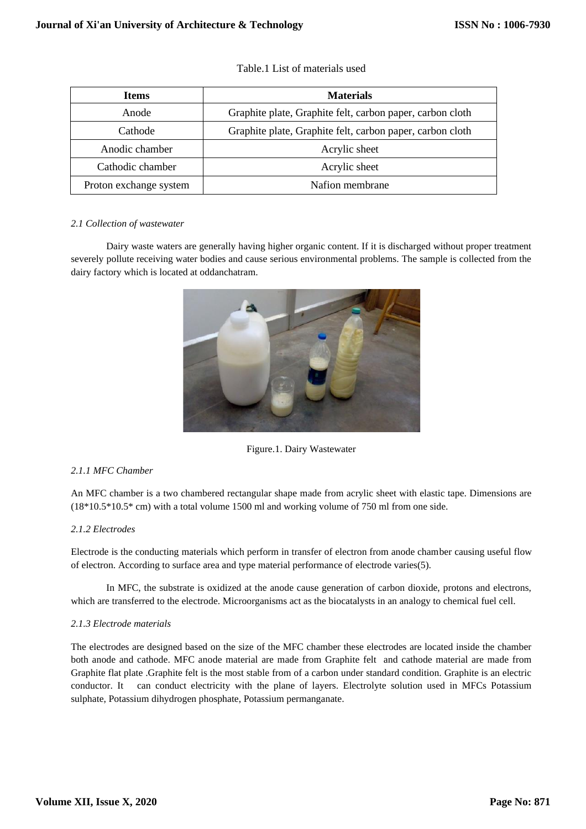| <b>Items</b>           | <b>Materials</b>                                          |  |
|------------------------|-----------------------------------------------------------|--|
| Anode                  | Graphite plate, Graphite felt, carbon paper, carbon cloth |  |
| Cathode                | Graphite plate, Graphite felt, carbon paper, carbon cloth |  |
| Anodic chamber         | Acrylic sheet                                             |  |
| Cathodic chamber       | Acrylic sheet                                             |  |
| Proton exchange system | Nafion membrane                                           |  |

# Table.1 List of materials used

#### *2.1 Collection of wastewater*

Dairy waste waters are generally having higher organic content. If it is discharged without proper treatment severely pollute receiving water bodies and cause serious environmental problems. The sample is collected from the dairy factory which is located at oddanchatram.



Figure.1. Dairy Wastewater

# *2.1.1 MFC Chamber*

An MFC chamber is a two chambered rectangular shape made from acrylic sheet with elastic tape. Dimensions are  $(18*10.5*10.5*$  cm) with a total volume 1500 ml and working volume of 750 ml from one side.

# *2.1.2 Electrodes*

Electrode is the conducting materials which perform in transfer of electron from anode chamber causing useful flow of electron. According to surface area and type material performance of electrode varies(5).

In MFC, the substrate is oxidized at the anode cause generation of carbon dioxide, protons and electrons, which are transferred to the electrode. Microorganisms act as the biocatalysts in an analogy to chemical fuel cell.

#### *2.1.3 Electrode materials*

The electrodes are designed based on the size of the MFC chamber these electrodes are located inside the chamber both anode and cathode. MFC anode material are made from Graphite felt and cathode material are made from Graphite flat plate .Graphite felt is the most stable from of a carbon under standard condition. Graphite is an electric conductor. It can conduct electricity with the plane of layers. Electrolyte solution used in MFCs Potassium sulphate, Potassium dihydrogen phosphate, Potassium permanganate.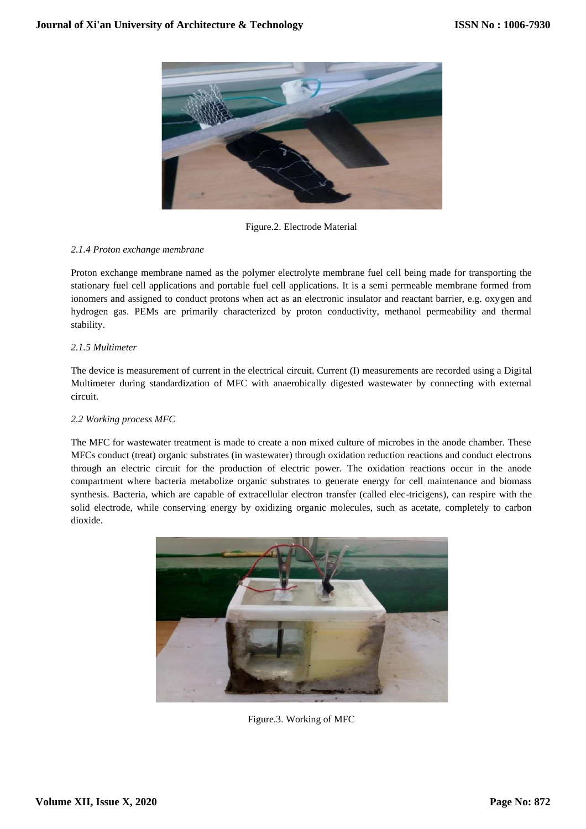

Figure.2. Electrode Material

# *2.1.4 Proton exchange membrane*

Proton exchange membrane named as the polymer electrolyte membrane fuel cell being made for transporting the stationary fuel cell applications and portable fuel cell applications. It is a semi permeable membrane formed from ionomers and assigned to conduct protons when act as an electronic insulator and reactant barrier, e.g. oxygen and hydrogen gas. PEMs are primarily characterized by proton conductivity, methanol permeability and thermal stability.

# *2.1.5 Multimeter*

The device is measurement of current in the electrical circuit. Current (I) measurements are recorded using a Digital Multimeter during standardization of MFC with anaerobically digested wastewater by connecting with external circuit.

### *2.2 Working process MFC*

The MFC for wastewater treatment is made to create a non mixed culture of microbes in the anode chamber. These MFCs conduct (treat) organic substrates (in wastewater) through oxidation reduction reactions and conduct electrons through an electric circuit for the production of electric power. The oxidation reactions occur in the anode compartment where bacteria metabolize organic substrates to generate energy for cell maintenance and biomass synthesis. Bacteria, which are capable of extracellular electron transfer (called elec-tricigens), can respire with the solid electrode, while conserving energy by oxidizing organic molecules, such as acetate, completely to carbon dioxide.



Figure.3. Working of MFC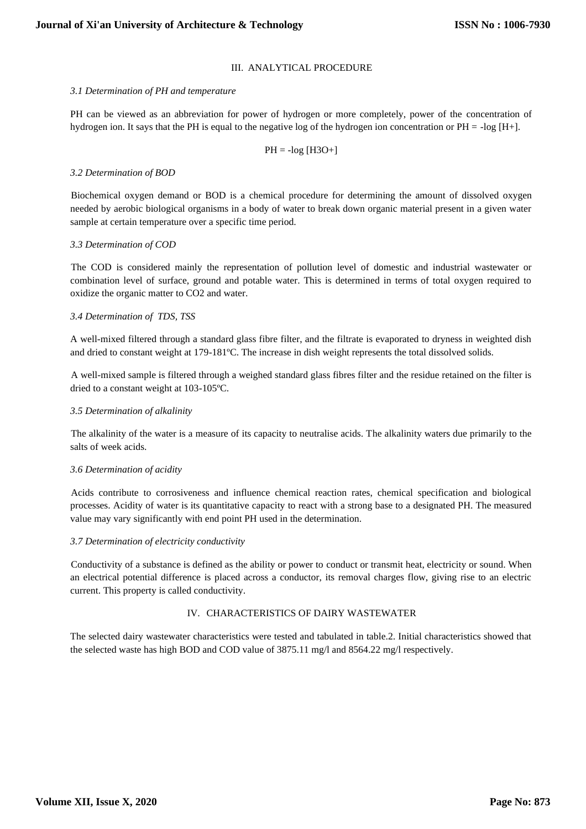#### III. ANALYTICAL PROCEDURE

#### *3.1 Determination of PH and temperature*

PH can be viewed as an abbreviation for power of hydrogen or more completely, power of the concentration of hydrogen ion. It says that the PH is equal to the negative log of the hydrogen ion concentration or PH = -log [H+].

$$
PH = -log [H3O+]
$$

#### *3.2 Determination of BOD*

Biochemical oxygen demand or BOD is a chemical procedure for determining the amount of dissolved oxygen needed by aerobic biological organisms in a body of water to break down organic material present in a given water sample at certain temperature over a specific time period.

#### *3.3 Determination of COD*

The COD is considered mainly the representation of pollution level of domestic and industrial wastewater or combination level of surface, ground and potable water. This is determined in terms of total oxygen required to oxidize the organic matter to CO2 and water.

#### *3.4 Determination of TDS, TSS*

A well-mixed filtered through a standard glass fibre filter, and the filtrate is evaporated to dryness in weighted dish and dried to constant weight at 179-181ºC. The increase in dish weight represents the total dissolved solids.

A well-mixed sample is filtered through a weighed standard glass fibres filter and the residue retained on the filter is dried to a constant weight at 103-105ºC.

#### *3.5 Determination of alkalinity*

The alkalinity of the water is a measure of its capacity to neutralise acids. The alkalinity waters due primarily to the salts of week acids.

#### *3.6 Determination of acidity*

Acids contribute to corrosiveness and influence chemical reaction rates, chemical specification and biological processes. Acidity of water is its quantitative capacity to react with a strong base to a designated PH. The measured value may vary significantly with end point PH used in the determination.

#### *3.7 Determination of electricity conductivity*

Conductivity of a substance is defined as the ability or power to conduct or transmit heat, electricity or sound. When an electrical potential difference is placed across a conductor, its removal charges flow, giving rise to an electric current. This property is called conductivity.

# IV. CHARACTERISTICS OF DAIRY WASTEWATER

The selected dairy wastewater characteristics were tested and tabulated in table.2. Initial characteristics showed that the selected waste has high BOD and COD value of 3875.11 mg/l and 8564.22 mg/l respectively.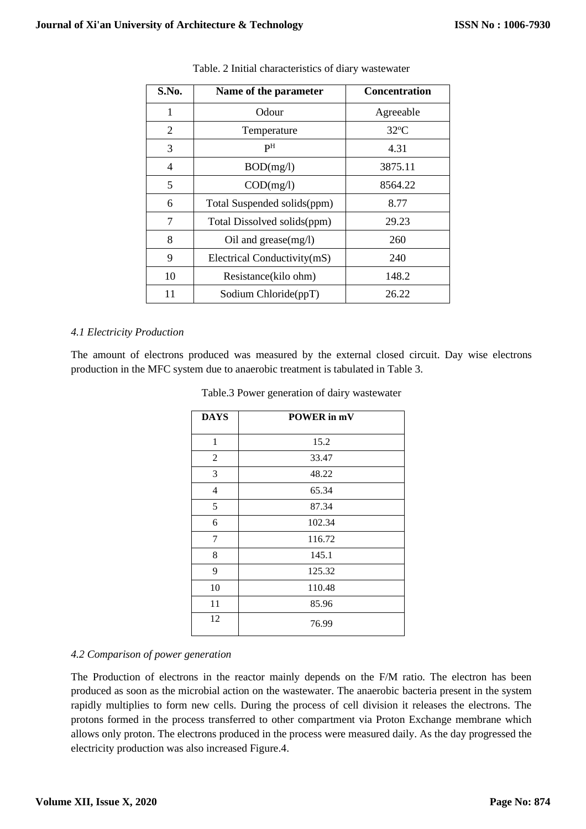| S.No. | Name of the parameter       | <b>Concentration</b> |
|-------|-----------------------------|----------------------|
| 1     | Odour                       | Agreeable            |
| 2     | Temperature                 | $32^{\circ}$ C       |
| 3     | pН                          | 4.31                 |
| 4     | BOD(mg/l)                   | 3875.11              |
| 5     | COD(mg/l)                   | 8564.22              |
| 6     | Total Suspended solids(ppm) | 8.77                 |
| 7     | Total Dissolved solids(ppm) | 29.23                |
| 8     | Oil and grease $(mg/l)$     | 260                  |
| 9     | Electrical Conductivity(mS) | 240                  |
| 10    | Resistance(kilo ohm)        | 148.2                |
| 11    | Sodium Chloride(ppT)        | 26.22                |

Table. 2 Initial characteristics of diary wastewater

# *4.1 Electricity Production*

The amount of electrons produced was measured by the external closed circuit. Day wise electrons production in the MFC system due to anaerobic treatment is tabulated in Table 3.

| <b>DAYS</b>    | POWER in mV |
|----------------|-------------|
| $\mathbf{1}$   | 15.2        |
| 2              | 33.47       |
| 3              | 48.22       |
| $\overline{4}$ | 65.34       |
| 5              | 87.34       |
| 6              | 102.34      |
| 7              | 116.72      |
| 8              | 145.1       |
| 9              | 125.32      |
| 10             | 110.48      |
| 11             | 85.96       |
| 12             | 76.99       |

| Table.3 Power generation of dairy wastewater |  |  |  |
|----------------------------------------------|--|--|--|
|----------------------------------------------|--|--|--|

# *4.2 Comparison of power generation*

The Production of electrons in the reactor mainly depends on the F/M ratio. The electron has been produced as soon as the microbial action on the wastewater. The anaerobic bacteria present in the system rapidly multiplies to form new cells. During the process of cell division it releases the electrons. The protons formed in the process transferred to other compartment via Proton Exchange membrane which allows only proton. The electrons produced in the process were measured daily. As the day progressed the electricity production was also increased Figure.4.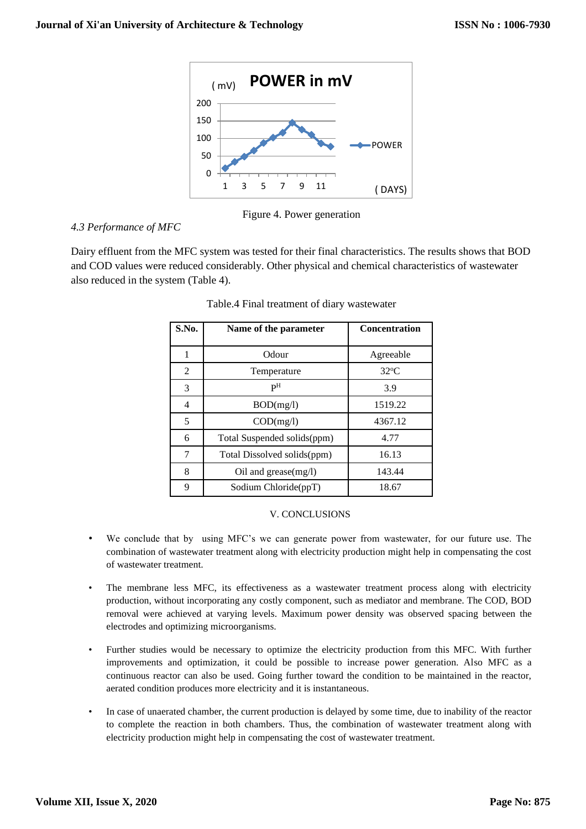

Figure 4. Power generation

# *4.3 Performance of MFC*

Dairy effluent from the MFC system was tested for their final characteristics. The results shows that BOD and COD values were reduced considerably. Other physical and chemical characteristics of wastewater also reduced in the system (Table 4).

| S.No. | Name of the parameter       | <b>Concentration</b> |
|-------|-----------------------------|----------------------|
| 1     | Odour                       | Agreeable            |
| 2     | Temperature                 | $32^{\circ}$ C       |
| 3     | P <sub>H</sub>              | 3.9                  |
| 4     | BOD(mg/l)                   | 1519.22              |
| 5     | COD(mg/l)                   | 4367.12              |
| 6     | Total Suspended solids(ppm) | 4.77                 |
| 7     | Total Dissolved solids(ppm) | 16.13                |
| 8     | Oil and grease $(mg/l)$     | 143.44               |
| 9     | Sodium Chloride(ppT)        | 18.67                |

# Table.4 Final treatment of diary wastewater

# V. CONCLUSIONS

- We conclude that by using MFC's we can generate power from wastewater, for our future use. The combination of wastewater treatment along with electricity production might help in compensating the cost of wastewater treatment.
- The membrane less MFC, its effectiveness as a wastewater treatment process along with electricity production, without incorporating any costly component, such as mediator and membrane. The COD, BOD removal were achieved at varying levels. Maximum power density was observed spacing between the electrodes and optimizing microorganisms.
- Further studies would be necessary to optimize the electricity production from this MFC. With further improvements and optimization, it could be possible to increase power generation. Also MFC as a continuous reactor can also be used. Going further toward the condition to be maintained in the reactor, aerated condition produces more electricity and it is instantaneous.
- In case of unaerated chamber, the current production is delayed by some time, due to inability of the reactor to complete the reaction in both chambers. Thus, the combination of wastewater treatment along with electricity production might help in compensating the cost of wastewater treatment.